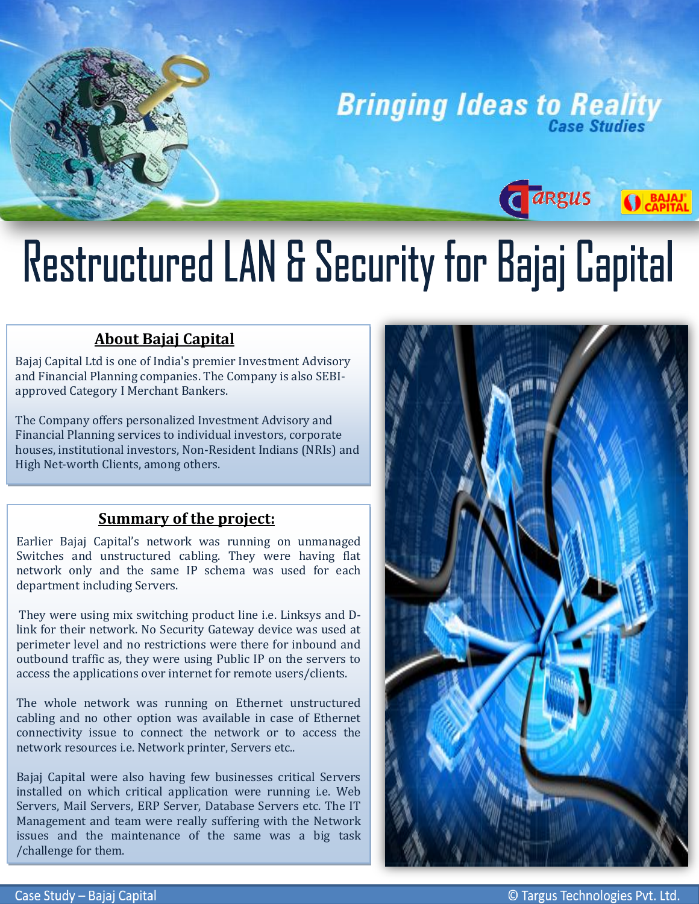

Cargus

**O** BAJAJ'

# Restructured LAN & Security for Bajaj Capital

### **About Bajaj Capital**

i

Bajaj Capital Ltd is one of India's premier Investment Advisory and Financial Planning companies. The Company is also SEBIapproved Category I Merchant Bankers.

The Company offers personalized Investment Advisory and Financial Planning services to individual investors, corporate houses, institutional investors, Non-Resident Indians (NRIs) and High Net-worth Clients, among others.

### **Summary of the project:**

Earlier Bajaj Capital's network was running on unmanaged Switches and unstructured cabling. They were having flat network only and the same IP schema was used for each department including Servers.

 They were using mix switching product line i.e. Linksys and Dlink for their network. No Security Gateway device was used at perimeter level and no restrictions were there for inbound and outbound traffic as, they were using Public IP on the servers to access the applications over internet for remote users/clients.

The whole network was running on Ethernet unstructured cabling and no other option was available in case of Ethernet connectivity issue to connect the network or to access the network resources i.e. Network printer, Servers etc..

Bajaj Capital were also having few businesses critical Servers installed on which critical application were running i.e. Web Servers, Mail Servers, ERP Server, Database Servers etc. The IT Management and team were really suffering with the Network issues and the maintenance of the same was a big task /challenge for them.